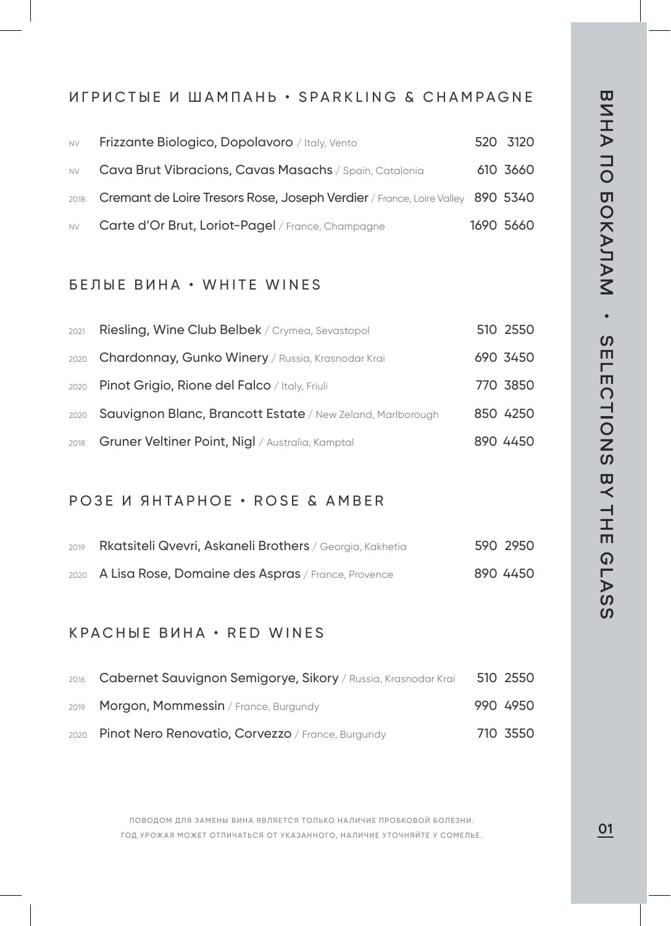## ИГРИСТЫЕ И ШАМПАНЬ • SPARKLING & CHAMPAGNE

| <b>NV</b> | Frizzante Biologico, Dopolavoro / Italy, Vento                                     | 520 3120  |
|-----------|------------------------------------------------------------------------------------|-----------|
| <b>NV</b> | Cava Brut Vibracions, Cavas Masachs / Spain, Catalonia                             | 610 3660  |
|           | 2018 Cremant de Loire Tresors Rose, Joseph Verdier / France, Loire Valley 890 5340 |           |
| <b>NV</b> | Carte d'Or Brut, Loriot-Pagel / France, Champagne                                  | 1690 5660 |

### БЕЛЫЕ ВИНА • WHITE WINES

| 2021 | Riesling, Wine Club Belbek / Crymea, Sevastopol                 | 510 2550 |
|------|-----------------------------------------------------------------|----------|
|      | 2020 Chardonnay, Gunko Winery / Russia, Krasnodar Krai          | 690 3450 |
|      | 2020 Pinot Grigio, Rione del Falco / Italy, Friuli              | 770 3850 |
|      | 2020 Sauvignon Blanc, Brancott Estate / New Zeland, Marlborough | 850 4250 |
|      | 2018 Gruner Veltiner Point, Nigl / Australia, Kamptal           | 890 4450 |

#### РОЗЕ И ЯНТАРНОЕ • ROSE & AMBER

| 2019 | Rkatsiteli Qvevri, Askaneli Brothers / Georgia, Kakhetia | 590 2950 |
|------|----------------------------------------------------------|----------|
|      | 2020 A Lisa Rose, Domaine des Aspras / France, Provence  | 890 4450 |

### КРАСНЫЕ ВИНА • RED WINES

| 2016 Cabernet Sauvignon Semigorye, Sikory / Russia, Krasnodar Krai | 510 2550 |
|--------------------------------------------------------------------|----------|
| 2019 Morgon, Mommessin / France, Burgundy                          | 990 4950 |
| 2020 Pinot Nero Renovatio, Corvezzo / France, Burgundy             | 710 3550 |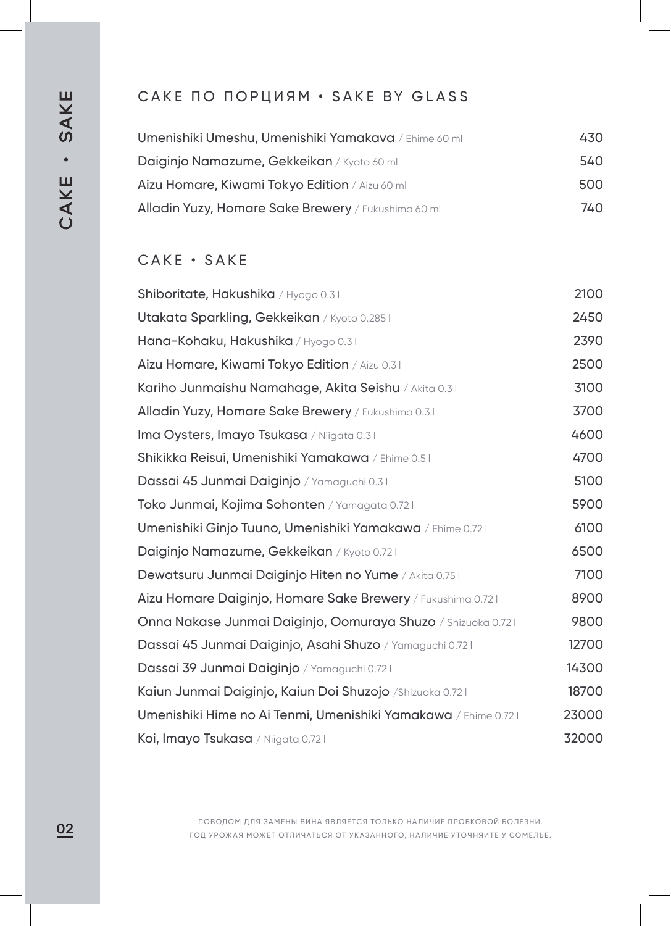## САКЕ ПО ПОРЦИЯМ • SAKE BY GLASS

| <b>Umenishiki Umeshu, Umenishiki Yamakava</b> / Ehime 60 ml | 430 |
|-------------------------------------------------------------|-----|
| <b>Daiginjo Namazume, Gekkeikan</b> / Kyoto 60 ml           | 540 |
| <b>Aizu Homare, Kiwami Tokyo Edition</b> / Aizu 60 ml       | 500 |
| Alladin Yuzy, Homare Sake Brewery / Fukushima 60 ml         | 740 |

## САКЕ • SAKE

| Shiboritate, Hakushika / Hyogo 0.31                            | 2100  |
|----------------------------------------------------------------|-------|
| Utakata Sparkling, Gekkeikan / Kyoto 0.2851                    | 2450  |
| Hana-Kohaku, Hakushika / Hyogo 0.31                            | 2390  |
| Aizu Homare, Kiwami Tokyo Edition / Aizu 0.31                  | 2500  |
| Kariho Junmaishu Namahage, Akita Seishu / Akita 0.31           | 3100  |
| Alladin Yuzy, Homare Sake Brewery / Fukushima 0.31             | 3700  |
| Ima Oysters, Imayo Tsukasa / Niigata 0.31                      | 4600  |
| Shikikka Reisui, Umenishiki Yamakawa / Ehime 0.51              | 4700  |
| Dassai 45 Junmai Daiginjo / Yamaguchi 0.31                     | 5100  |
| Toko Junmai, Kojima Sohonten / Yamagata 0.721                  | 5900  |
| Umenishiki Ginjo Tuuno, Umenishiki Yamakawa / Ehime 0.72 I     | 6100  |
| Daiginjo Namazume, Gekkeikan / Kyoto 0.721                     | 6500  |
| Dewatsuru Junmai Daiginjo Hiten no Yume / Akita 0.75 I         | 7100  |
| Aizu Homare Daiginjo, Homare Sake Brewery / Fukushima 0.721    | 8900  |
| Onna Nakase Junmai Daiginjo, Oomuraya Shuzo / Shizuoka 0.72    | 9800  |
| Dassai 45 Junmai Daiginjo, Asahi Shuzo / Yamaguchi 0.721       | 12700 |
| Dassai 39 Junmai Daiginjo / Yamaguchi 0.721                    | 14300 |
| Kaiun Junmai Daiginjo, Kaiun Doi Shuzojo /Shizuoka 0.721       | 18700 |
| Umenishiki Hime no Ai Tenmi, Umenishiki Yamakawa / Ehime 0.721 | 23000 |
| Koi, Imayo Tsukasa / Niigata 0.721                             | 32000 |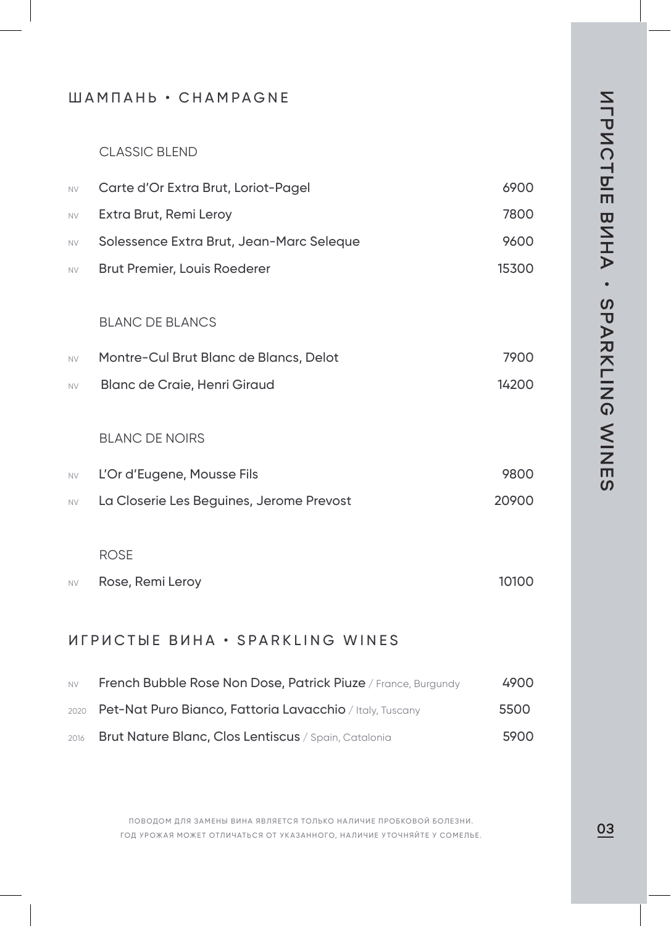### ШАМПАНЬ • СНАМРАGNE

#### **CLASSIC BLEND**

| <b>NV</b> | Carte d'Or Extra Brut, Loriot-Pagel      | 6900  |
|-----------|------------------------------------------|-------|
| <b>NV</b> | Extra Brut, Remi Leroy                   | 7800  |
| <b>NV</b> | Solessence Extra Brut, Jean-Marc Seleque | 9600  |
| <b>NV</b> | Brut Premier, Louis Roederer             | 15300 |

#### **BLANC DE BLANCS**

| <b>NV</b> | Montre-Cul Brut Blanc de Blancs, Delot | 7900  |
|-----------|----------------------------------------|-------|
| <b>NV</b> | Blanc de Craie, Henri Giraud           | 14200 |

### **BLANC DE NOIRS**

| <b>NV</b> | L'Or d'Eugene, Mousse Fils               | 9800  |
|-----------|------------------------------------------|-------|
| <b>NV</b> | La Closerie Les Beguines, Jerome Prevost | 20900 |

#### **ROSE**

Rose, Remi Leroy 10100  $N<sub>V</sub>$ 

## *MEPHCTHE BUHA · SPARKLING WINES*

| <b>NV</b> | French Bubble Rose Non Dose, Patrick Piuze / France, Burgundy | 4900 |
|-----------|---------------------------------------------------------------|------|
|           | 2020 Pet-Nat Puro Bianco, Fattoria Lavacchio / Italy, Tuscany | 5500 |
| 2016      | <b>Brut Nature Blanc, Clos Lentiscus</b> / Spain, Catalonia   | 5900 |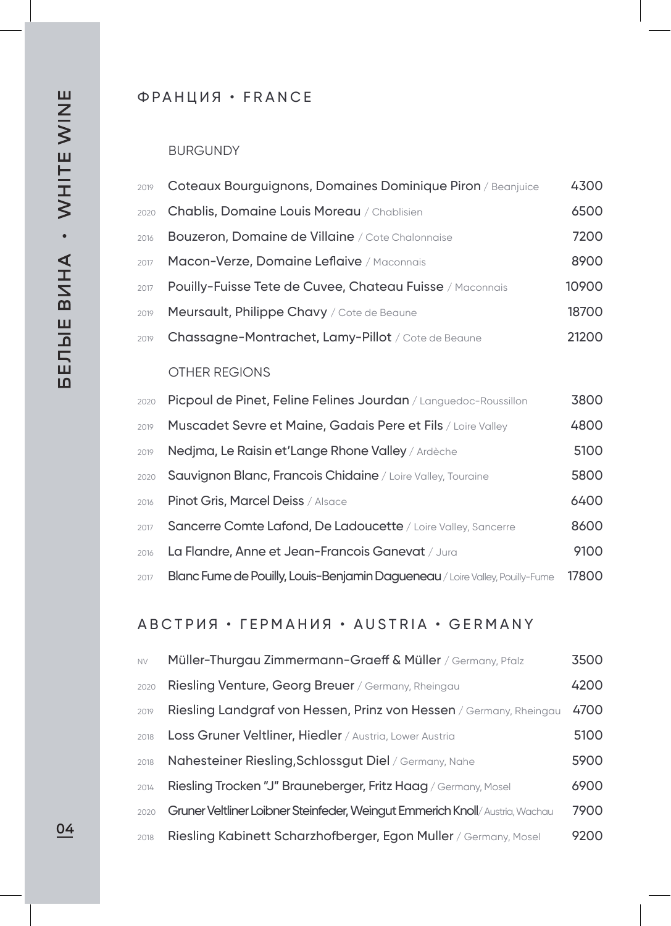### ФРАНЦИЯ • FRANCE

### BURGUNDY

| 2019 | Coteaux Bourguignons, Domaines Dominique Piron / Beanjuice      | 4300  |
|------|-----------------------------------------------------------------|-------|
|      | 2020 Chablis, Domaine Louis Moreau / Chablisien                 | 6500  |
| 2016 | <b>Bouzeron, Domaine de Villaine</b> / Cote Chalonnaise         | 7200  |
| 2017 | Macon-Verze, Domaine Leflaive / Maconnais                       | 8900  |
| 2017 | <b>Pouilly-Fuisse Tete de Cuvee, Chateau Fuisse</b> / Maconnais | 10900 |
| 2019 | Meursault, Philippe Chavy / Cote de Beaune                      | 18700 |
| 2019 | Chassagne-Montrachet, Lamy-Pillot / Cote de Beaune              | 21200 |
|      | <b>OTHER REGIONS</b>                                            |       |

| 2020 | Picpoul de Pinet, Feline Felines Jourdan / Languedoc-Roussillon                     | 3800  |
|------|-------------------------------------------------------------------------------------|-------|
| 2019 | Muscadet Sevre et Maine, Gadais Pere et Fils / Loire Valley                         | 4800  |
| 2019 | Nedjma, Le Raisin et'Lange Rhone Valley / Ardèche                                   | 5100  |
| 2020 | <b>Sauvignon Blanc, Francois Chidaine</b> / Loire Valley, Touraine                  | 5800  |
| 2016 | Pinot Gris, Marcel Deiss / Alsace                                                   | 6400  |
| 2017 | Sancerre Comte Lafond, De Ladoucette / Loire Valley, Sancerre                       | 8600  |
| 2016 | La Flandre, Anne et Jean-Francois Ganevat / Jura                                    | 9100  |
| 2017 | <b>Blanc Fume de Pouilly, Louis-Benjamin Dagueneau</b> / Loire Valley, Pouilly-Fume | 17800 |

## АВСТРИЯ • ГЕРМАНИЯ • AUSTRIA • GERMANY

| <b>NV</b> | Müller-Thurgau Zimmermann-Graeff & Müller / Germany, Pfalz                  | 3500 |
|-----------|-----------------------------------------------------------------------------|------|
| 2020      | Riesling Venture, Georg Breuer / Germany, Rheingau                          | 4200 |
| 2019      | Riesling Landgraf von Hessen, Prinz von Hessen / Germany, Rheingau          | 4700 |
| 2018      | Loss Gruner Veltliner, Hiedler / Austria, Lower Austria                     | 5100 |
| 2018      | Nahesteiner Riesling, Schlossqut Diel / Germany, Nahe                       | 5900 |
| 2014      | Riesling Trocken "J" Brauneberger, Fritz Haag / Germany, Mosel              | 6900 |
| 2020      | Gruner Veltliner Loibner Steinfeder, Weinqut Emmerich Knoll/Austria, Wachau | 7900 |
| 2018      | Riesling Kabinett Scharzhofberger, Egon Muller / Germany, Mosel             | 9200 |

04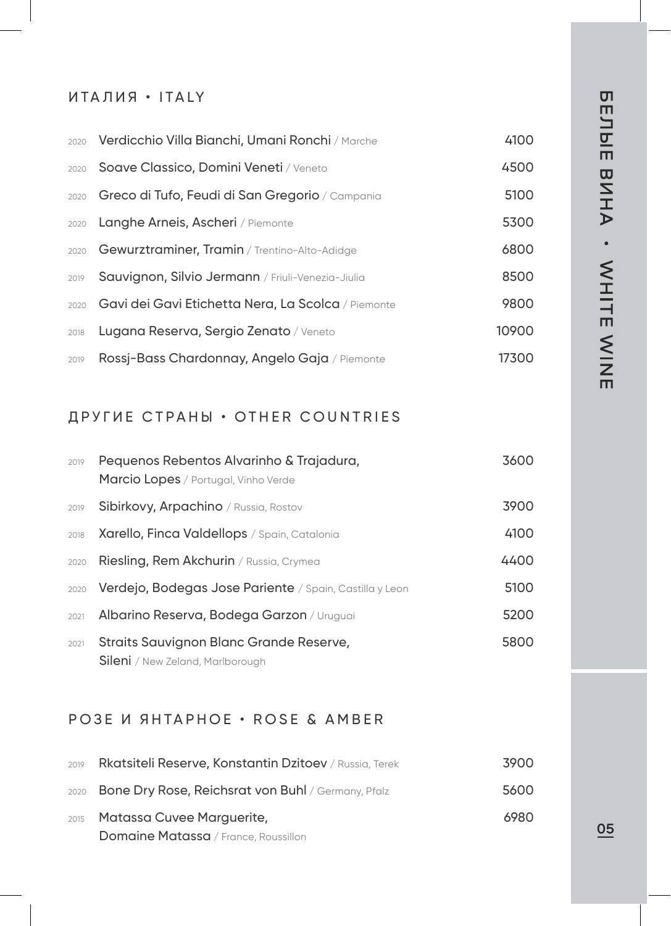### ИТАЛИЯ • ITALY

|      | 2020 Verdicchio Villa Bianchi, Umani Ronchi / Marche    | 4100  |
|------|---------------------------------------------------------|-------|
| 2020 | Soave Classico, Domini Veneti / Veneto                  | 4500  |
|      | 2020 Greco di Tufo, Feudi di San Gregorio / Campania    | 5100  |
| 2020 | Langhe Arneis, Ascheri / Piemonte                       | 5300  |
|      | 2020 Gewurztraminer, Tramin / Trentino-Alto-Adidge      | 6800  |
| 2019 | Sauvignon, Silvio Jermann / Friuli-Venezia-Jiulia       | 8500  |
|      | 2020 Gavi dei Gavi Etichetta Nera, La Scolca / Piemonte | 9800  |
| 2018 | Lugana Reserva, Sergio Zenato / Veneto                  | 10900 |
| 2019 | Rossj-Bass Chardonnay, Angelo Gaja / Piemonte           | 17300 |

## ДРУГИЕ СТРАНЫ • OTHER COUNTRIES

| 2019 | Pequenos Rebentos Alvarinho & Trajadura,<br><b>Marcio Lopes</b> / Portugal, Vinho Verde | 3600 |
|------|-----------------------------------------------------------------------------------------|------|
| 2019 | <b>Sibirkovy, Arpachino</b> / Russia, Rostov                                            | 3900 |
| 2018 | Xarello, Finca Valdellops / Spain, Catalonia                                            | 4100 |
| 2020 | Riesling, Rem Akchurin / Russia, Crymea                                                 | 4400 |
| 2020 | Verdejo, Bodegas Jose Pariente / Spain, Castilla y Leon                                 | 5100 |
| 2021 | Albarino Reserva, Bodega Garzon / Uruguai                                               | 5200 |
| 2021 | Straits Sauvignon Blanc Grande Reserve,<br><b>Sileni</b> / New Zeland, Marlborough      | 5800 |

# РОЗЕ И ЯНТАРНОЕ • ROSE & AMBER

| 2019 | Rkatsiteli Reserve, Konstantin Dzitoev / Russia, Terek         | 3900 |
|------|----------------------------------------------------------------|------|
|      | 2020 <b>Bone Dry Rose, Reichsrat von Buhl</b> / Germany, Pfalz | 5600 |
|      | 2015 Matassa Cuvee Marquerite,                                 | 6980 |
|      | <b>Domaine Matassa</b> / France, Roussillon                    |      |

05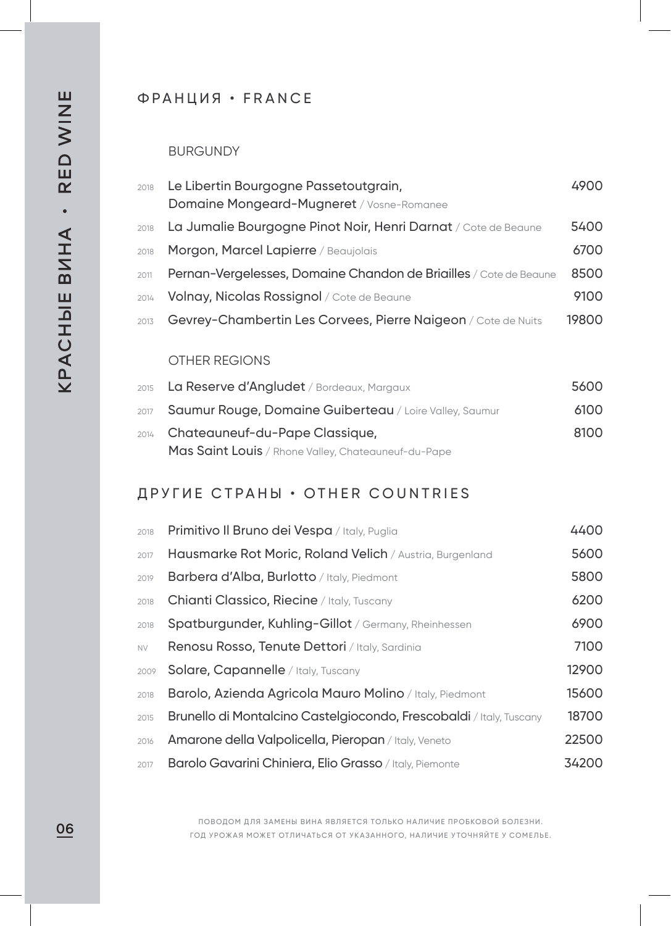# ФРАНЦИЯ • FRANCE

#### BURGUNDY

| 2018 | Le Libertin Bourgogne Passetoutgrain,<br>Domaine Mongeard-Mugneret / Vosne-Romanee | 4900  |
|------|------------------------------------------------------------------------------------|-------|
| 2018 | La Jumalie Bourgogne Pinot Noir, Henri Darnat / Cote de Beaune                     | 5400  |
| 2018 | Morgon, Marcel Lapierre / Beaujolais                                               | 6700  |
| 2011 | Pernan-Vergelesses, Domaine Chandon de Briailles / Cote de Beaune                  | 8500  |
| 2014 | Volnay, Nicolas Rossignol / Cote de Beaune                                         | 9100  |
| 2013 | Gevrey-Chambertin Les Corvees, Pierre Naigeon / Cote de Nuits                      | 19800 |
|      |                                                                                    |       |

### OTHER REGIONS

| 2015 La Reserve d'Angludet / Bordeaux, Margaux               | 5600 |
|--------------------------------------------------------------|------|
| 2017 Saumur Rouge, Domaine Guiberteau / Loire Valley, Saumur | 6100 |
| 2014 Chateauneuf-du-Pape Classique,                          | 8100 |
| Mas Saint Louis / Rhone Valley, Chateauneuf-du-Pape          |      |

# ДРУГИЕ СТРАНЫ • OTHER COUNTRIES

| 2018      | Primitivo Il Bruno dei Vespa / Italy, Puglia                               | 4400  |
|-----------|----------------------------------------------------------------------------|-------|
| 2017      | Hausmarke Rot Moric, Roland Velich / Austria, Burgenland                   | 5600  |
| 2019      | <b>Barbera d'Alba, Burlotto</b> / Italy, Piedmont                          | 5800  |
| 2018      | Chianti Classico, Riecine / Italy, Tuscany                                 | 6200  |
| 2018      | Spatburgunder, Kuhling-Gillot / Germany, Rheinhessen                       | 6900  |
| <b>NV</b> | Renosu Rosso, Tenute Dettori / Italy, Sardinia                             | 7100  |
| 2009      | Solare, Capannelle / Italy, Tuscany                                        | 12900 |
| 2018      | <b>Barolo, Azienda Agricola Mauro Molino</b> / Italy, Piedmont             | 15600 |
| 2015      | <b>Brunello di Montalcino Castelgiocondo, Frescobaldi</b> / Italy, Tuscany | 18700 |
| 2016      | Amarone della Valpolicella, Pieropan / Italy, Veneto                       | 22500 |
| 2017      | <b>Barolo Gavarini Chiniera, Elio Grasso</b> / Italy, Piemonte             | 34200 |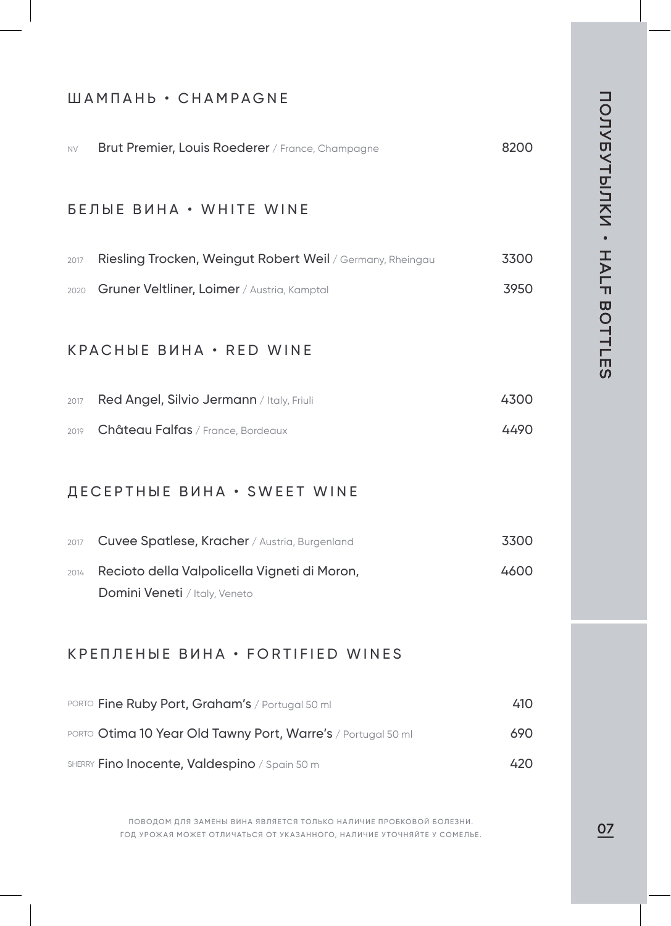# ШАМПАНЬ • CHAMPAGNE

| <b>NV</b>                                     | Brut Premier, Louis Roederer / France, Champagne                              | 8200 |  |
|-----------------------------------------------|-------------------------------------------------------------------------------|------|--|
|                                               | БЕЛЫЕ ВИНА • WHITE WINE                                                       |      |  |
| 2017                                          | Riesling Trocken, Weingut Robert Weil / Germany, Rheingau                     | 3300 |  |
| 2020                                          | Gruner Veltliner, Loimer / Austria, Kamptal                                   | 3950 |  |
|                                               | <b>KPACHBE BUHA • RED WINE</b>                                                |      |  |
| 2017                                          | Red Angel, Silvio Jermann / Italy, Friuli                                     | 4300 |  |
| 2019                                          | Château Falfas / France, Bordeaux                                             | 4490 |  |
|                                               | ДЕСЕРТНЫЕ ВИНА • SWEET WINE                                                   |      |  |
| 2017                                          | Cuvee Spatlese, Kracher / Austria, Burgenland                                 | 3300 |  |
| 2014                                          | Recioto della Valpolicella Vigneti di Moron,<br>Domini Veneti / Italy, Veneto | 4600 |  |
|                                               | <b>КРЕПЛЕНЫЕ ВИНА • FORTIFIED WINES</b>                                       |      |  |
|                                               | PORTO Fine Ruby Port, Graham's / Portugal 50 ml                               | 410  |  |
|                                               | PORTO Otima 10 Year Old Tawny Port, Warre's / Portugal 50 ml                  | 690  |  |
| SHERRY Fino Inocente, Valdespino / Spain 50 m |                                                                               | 420  |  |

ПОВОДОМ ДЛЯ ЗАМЕНЫ ВИНА ЯВЛЯЕТСЯ ТОЛЬКО НАЛИЧИЕ ПРОБКОВОИ БОЛЕЗНИ.<br>ГОД УРОЖАЯ МОЖЕТ ОТЛИЧАТЬСЯ ОТ УКАЗАННОГО, НАЛИЧИЕ УТОЧНЯЙТЕ У СОМЕЛЬЕ. ПОВОДОМ ДЛЯ ЗАМЕНЫ ВИНА ЯВЛЯЕТСЯ ТОЛЬКО НАЛИЧИЕ ПРОБКОВОЙ БОЛЕЗНИ.